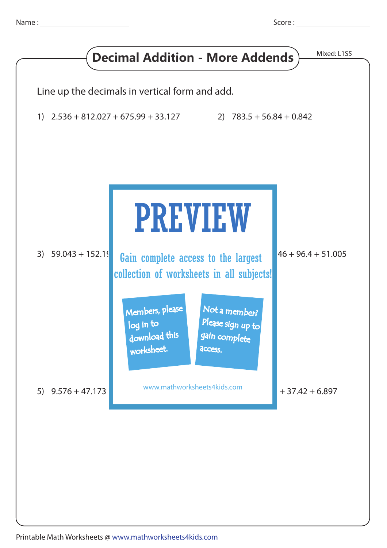